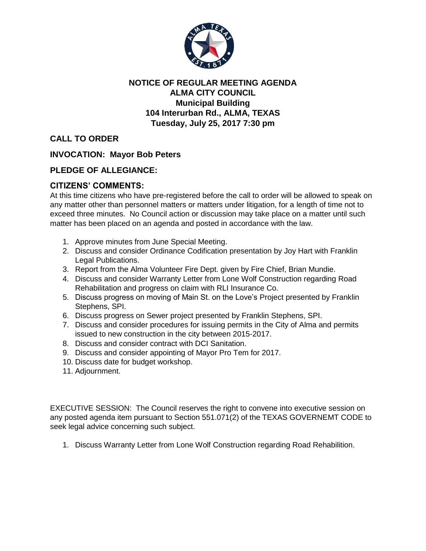

## **NOTICE OF REGULAR MEETING AGENDA ALMA CITY COUNCIL Municipal Building 104 Interurban Rd., ALMA, TEXAS Tuesday, July 25, 2017 7:30 pm**

**CALL TO ORDER**

**INVOCATION: Mayor Bob Peters**

## **PLEDGE OF ALLEGIANCE:**

## **CITIZENS' COMMENTS:**

At this time citizens who have pre-registered before the call to order will be allowed to speak on any matter other than personnel matters or matters under litigation, for a length of time not to exceed three minutes. No Council action or discussion may take place on a matter until such matter has been placed on an agenda and posted in accordance with the law.

- 1. Approve minutes from June Special Meeting.
- 2. Discuss and consider Ordinance Codification presentation by Joy Hart with Franklin Legal Publications.
- 3. Report from the Alma Volunteer Fire Dept. given by Fire Chief, Brian Mundie.
- 4. Discuss and consider Warranty Letter from Lone Wolf Construction regarding Road Rehabilitation and progress on claim with RLI Insurance Co.
- 5. Discuss progress on moving of Main St. on the Love's Project presented by Franklin Stephens, SPI.
- 6. Discuss progress on Sewer project presented by Franklin Stephens, SPI.
- 7. Discuss and consider procedures for issuing permits in the City of Alma and permits issued to new construction in the city between 2015-2017.
- 8. Discuss and consider contract with DCI Sanitation.
- 9. Discuss and consider appointing of Mayor Pro Tem for 2017.
- 10. Discuss date for budget workshop.
- 11. Adjournment.

EXECUTIVE SESSION: The Council reserves the right to convene into executive session on any posted agenda item pursuant to Section 551.071(2) of the TEXAS GOVERNEMT CODE to seek legal advice concerning such subject.

1. Discuss Warranty Letter from Lone Wolf Construction regarding Road Rehabilition.